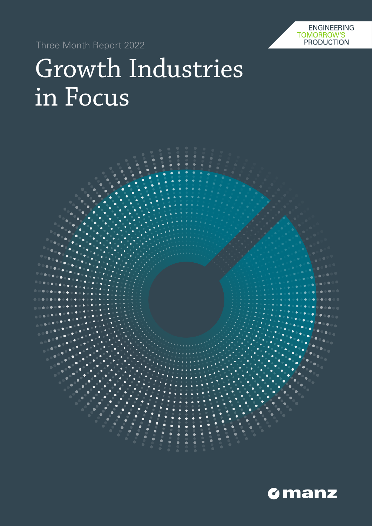**ENGINEERING** TOMORROW'S **PRODUCTION** 

Three Month Report 2022

# Growth Industries in Focus



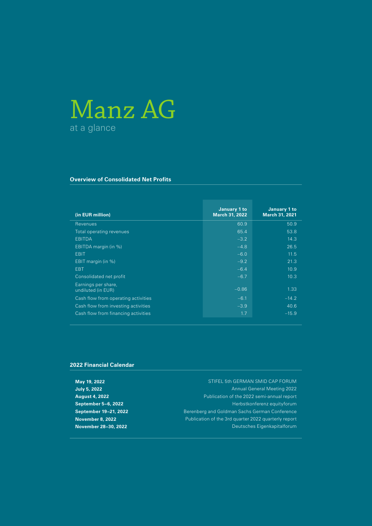# Manz AG at a glance

#### **Overview of Consolidated Net Profits**

| (in EUR million)                          | January 1 to<br><b>March 31, 2022</b> | January 1 to<br><b>March 31, 2021</b> |
|-------------------------------------------|---------------------------------------|---------------------------------------|
| Revenues                                  | 60.9                                  | 50.9                                  |
| Total operating revenues                  | 65.4                                  | 53.8                                  |
| <b>EBITDA</b>                             | $-3.2$                                | 14.3                                  |
| EBITDA margin (in %)                      | $-4.8$                                | 26.5                                  |
| <b>EBIT</b>                               | $-6.0$                                | 11.5                                  |
| EBIT margin (in %)                        | $-9.2$                                | 21.3                                  |
| <b>EBT</b>                                | $-6.4$                                | 10.9                                  |
| Consolidated net profit                   | $-6.7$                                | 10.3                                  |
| Earnings per share,<br>undiluted (in EUR) | $-0.86$                               | 1.33                                  |
| Cash flow from operating activities       | $-6.1$                                | $-14.2$                               |
| Cash flow from investing activities       | $-3.9$                                | 40.6                                  |
| Cash flow from financing activities       | 1.7                                   | $-15.9$                               |

#### **2022 Financial Calendar**

**May 19, 2022** STIFEL 5th GERMAN SMID CAP FORUM **July 5, 2022** Annual General Meeting 2022 **August 4, 2022** Publication of the 2022 semi-annual report **September 5–6, 2022 Herbstkonferenz equityforum September 19–21, 2022 Berenberg and Goldman Sachs German Conference November 8, 2022 Publication of the 3rd quarter 2022 quarterly report November 28–30, 2022** Deutsches Eigenkapitalforum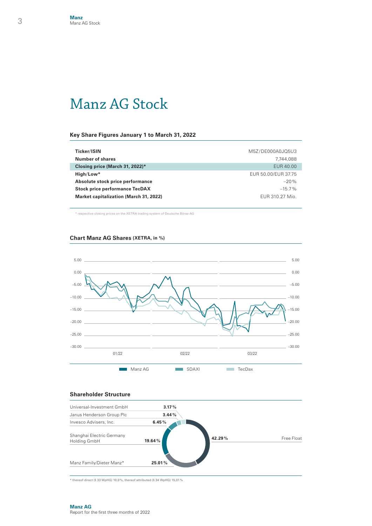### Manz AG Stock

#### **Key Share Figures January 1 to March 31, 2022**

| Ticker/ISIN                                   | M5Z/DE000A0JQ5U3    |
|-----------------------------------------------|---------------------|
| Number of shares                              | 7.744.088           |
| Closing price (March 31, 2022)*               | EUR 40.00           |
| $High/Low*$                                   | EUR 50.00/EUR 37.75 |
| Absolute stock price performance              | $-20%$              |
| <b>Stock price performance TecDAX</b>         | $-15.7\%$           |
| <b>Market capitalization (March 31, 2022)</b> | EUR 310.27 Mio.     |

\* respective closing prices on the XETRA trading system of Deutsche Börse AG





#### **Shareholder Structure**



 $*$  thereof direct (§ 33 WpHG) 10,0%, thereof attributed (§ 34 WpHG) 15,01%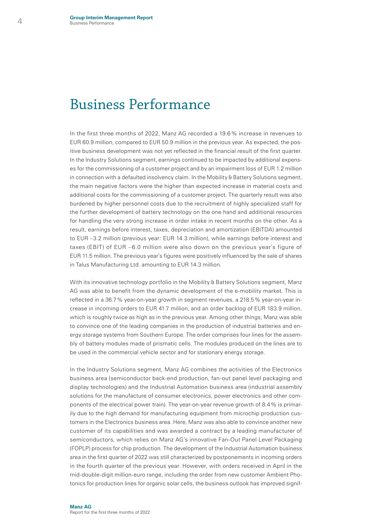### Business Performance

In the first three months of 2022, Manz AG recorded a 19.6% increase in revenues to EUR 60.9 million, compared to EUR 50.9 million in the previous year. As expected, the positive business development was not yet reflected in the financial result of the first quarter. In the Industry Solutions segment, earnings continued to be impacted by additional expenses for the commissioning of a customer project and by an impairment loss of EUR 1.2 million in connection with a defaulted insolvency claim. In the Mobility & Battery Solutions segment, the main negative factors were the higher than expected increase in material costs and additional costs for the commissioning of a customer project. The quarterly result was also burdened by higher personnel costs due to the recruitment of highly specialized staff for the further development of battery technology on the one hand and additional resources for handling the very strong increase in order intake in recent months on the other. As a result, earnings before interest, taxes, depreciation and amortization (EBITDA) amounted to EUR –3.2 million (previous year: EUR 14.3 million), while earnings before interest and taxes (EBIT) of EUR –6.0 million were also down on the previous year's figure of EUR 11.5 million. The previous year's figures were positively influenced by the sale of shares in Talus Manufacturing Ltd. amounting to EUR 14.3 million.

With its innovative technology portfolio in the Mobility & Battery Solutions segment, Manz AG was able to benefit from the dynamic development of the e-mobility market. This is reflected in a 36.7% year-on-year growth in segment revenues, a 218.5% year-on-year increase in incoming orders to EUR 41.7 million, and an order backlog of EUR 183.9 million, which is roughly twice as high as in the previous year. Among other things, Manz was able to convince one of the leading companies in the production of industrial batteries and energy storage systems from Southern Europe. The order comprises four lines for the assembly of battery modules made of prismatic cells. The modules produced on the lines are to be used in the commercial vehicle sector and for stationary energy storage.

In the Industry Solutions segment, Manz AG combines the activities of the Electronics business area (semiconductor back-end production, fan-out panel level packaging and display technologies) and the Industrial Automation business area (industrial assembly solutions for the manufacture of consumer electronics, power electronics and other components of the electrical power train). The year-on-year revenue growth of 8.4% is primarily due to the high demand for manufacturing equipment from microchip production customers in the Electronics business area. Here, Manz was also able to convince another new customer of its capabilities and was awarded a contract by a leading manufacturer of semiconductors, which relies on Manz AG's innovative Fan-Out Panel Level Packaging (FOPLP) process for chip production. The development of the Industrial Automation business area in the first quarter of 2022 was still characterized by postponements in incoming orders in the fourth quarter of the previous year. However, with orders received in April in the mid-double-digit million-euro range, including the order from new customer Ambient Photonics for production lines for organic solar cells, the business outlook has improved signif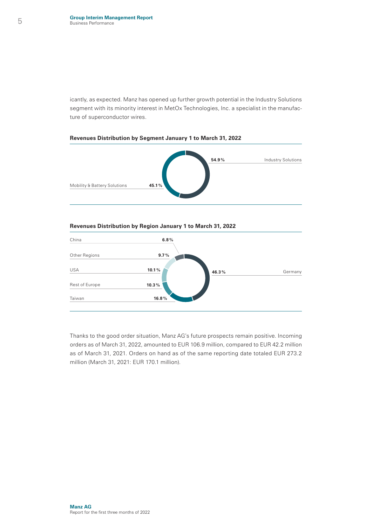icantly, as expected. Manz has opened up further growth potential in the Industry Solutions segment with its minority interest in MetOx Technologies, Inc. a specialist in the manufacture of superconductor wires.



#### **Revenues Distribution by Segment January 1 to March 31, 2022**

#### **Revenues Distribution by Region January 1 to March 31, 2022**



Thanks to the good order situation, Manz AG's future prospects remain positive. Incoming orders as of March 31, 2022, amounted to EUR 106.9 million, compared to EUR 42.2 million as of March 31, 2021. Orders on hand as of the same reporting date totaled EUR 273.2 million (March 31, 2021: EUR 170.1 million).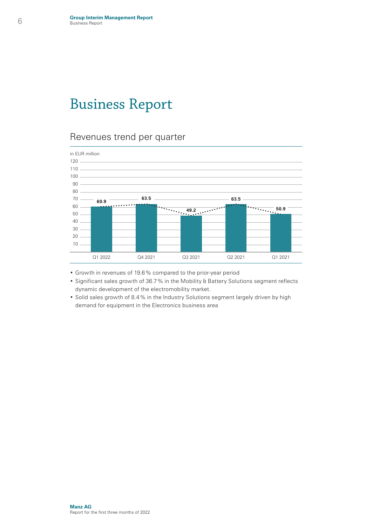### Business Report

### Revenues trend per quarter



- Growth in revenues of 19.6% compared to the prior-year period
- Significant sales growth of 36.7% in the Mobility & Battery Solutions segment reflects dynamic development of the electromobility market.
- Solid sales growth of 8.4% in the Industry Solutions segment largely driven by high demand for equipment in the Electronics business area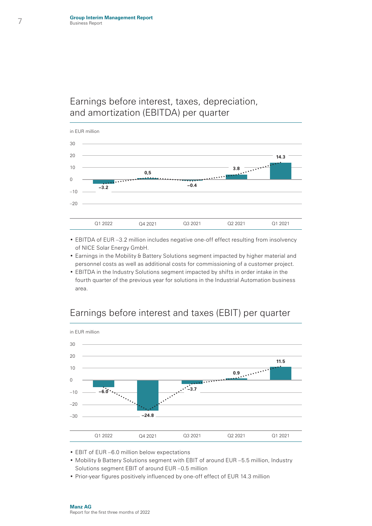### Earnings before interest, taxes, depreciation, and amortization (EBITDA) per quarter



- EBITDA of EUR –3.2 million includes negative one-off effect resulting from insolvency of NICE Solar Energy GmbH.
- Earnings in the Mobility & Battery Solutions segment impacted by higher material and personnel costs as well as additional costs for commissioning of a customer project.
- EBITDA in the Industry Solutions segment impacted by shifts in order intake in the fourth quarter of the previous year for solutions in the Industrial Automation business area.



### Earnings before interest and taxes (EBIT) per quarter

- EBIT of EUR –6.0 million below expectations
- Mobility & Battery Solutions segment with EBIT of around EUR –5.5 million, Industry Solutions segment EBIT of around EUR –0.5 million
- Prior-year figures positively influenced by one-off effect of EUR 14.3 million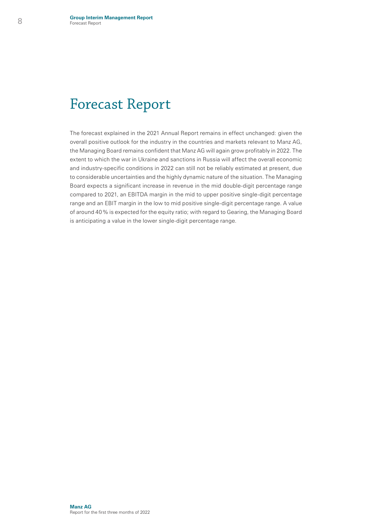### Forecast Report

The forecast explained in the 2021 Annual Report remains in effect unchanged: given the overall positive outlook for the industry in the countries and markets relevant to Manz AG, the Managing Board remains confident that Manz AG will again grow profitably in 2022. The extent to which the war in Ukraine and sanctions in Russia will affect the overall economic and industry-specific conditions in 2022 can still not be reliably estimated at present, due to considerable uncertainties and the highly dynamic nature of the situation. The Managing Board expects a significant increase in revenue in the mid double-digit percentage range compared to 2021, an EBITDA margin in the mid to upper positive single-digit percentage range and an EBIT margin in the low to mid positive single-digit percentage range. A value of around 40% is expected for the equity ratio; with regard to Gearing, the Managing Board is anticipating a value in the lower single-digit percentage range.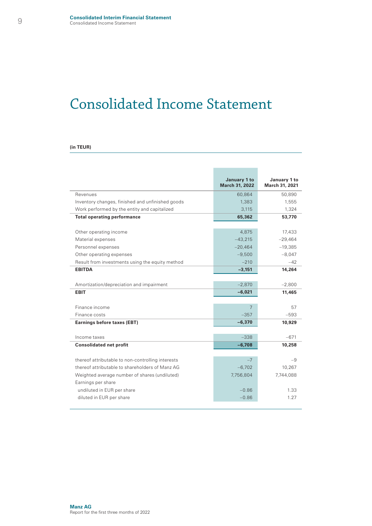### Consolidated Income Statement

#### **(in TEUR)**

|                                                   | January 1 to<br>March 31, 2022 | January 1 to<br>March 31, 2021 |
|---------------------------------------------------|--------------------------------|--------------------------------|
| Revenues                                          | 60,864                         | 50,890                         |
| Inventory changes, finished and unfinished goods  | 1,383                          | 1,555                          |
| Work performed by the entity and capitalized      | 3.115                          | 1,324                          |
| <b>Total operating performance</b>                | 65,362                         | 53,770                         |
| Other operating income                            | 4,875                          | 17,433                         |
| Material expenses                                 | $-43.215$                      | $-29,464$                      |
| Personnel expenses                                | $-20,464$                      | $-19,385$                      |
| Other operating expenses                          | $-9,500$                       | $-8.047$                       |
| Result from investments using the equity method   | $-210$                         | $-42$                          |
| <b>EBITDA</b>                                     | $-3,151$                       | 14,264                         |
|                                                   |                                |                                |
| Amortization/depreciation and impairment          | $-2,870$                       | $-2.800$                       |
| <b>EBIT</b>                                       | $-6,021$                       | 11,465                         |
| Finance income                                    | 7                              | 57                             |
| Finance costs                                     | $-357$                         | $-593$                         |
| <b>Earnings before taxes (EBT)</b>                | $-6,370$                       | 10,929                         |
|                                                   |                                |                                |
| Income taxes                                      | $-338$                         | $-671$                         |
| <b>Consolidated net profit</b>                    | $-6,708$                       | 10,258                         |
| thereof attributable to non-controlling interests | $-7$                           | $-9$                           |
| thereof attributable to shareholders of Manz AG   | $-6,702$                       | 10,267                         |
| Weighted average number of shares (undiluted)     | 7,756,804                      | 7,744,088                      |
| Earnings per share                                |                                |                                |
| undiluted in EUR per share                        | $-0.86$                        | 1.33                           |
|                                                   |                                |                                |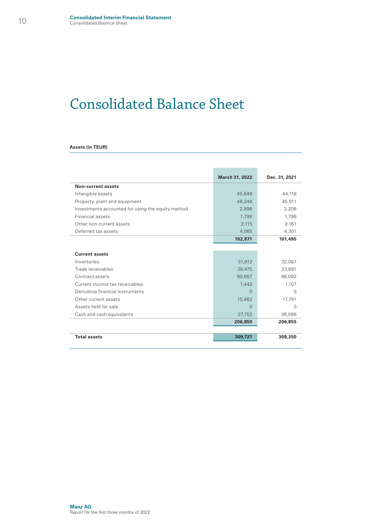### Consolidated Balance Sheet

#### **Assets (in TEUR)**

|                                                   | March 31, 2022 | Dec. 31, 2021 |
|---------------------------------------------------|----------------|---------------|
| Non-current assets                                |                |               |
| Intangible assets                                 | 45,648         | 44.118        |
| Property, plant and equipment                     | 46.248         | 45,911        |
| Investments accounted for using the equity method | 2,996          | 3,206         |
| Financial assets                                  | 1.798          | 1.798         |
| Other non-current assets                          | 2.115          | 2.161         |
| Deferred tax assets                               | 4.065          | 4,301         |
|                                                   | 102,871        | 101,495       |
|                                                   |                |               |
| <b>Current assets</b>                             |                |               |
| Inventories                                       | 31.912         | 32,087        |
| Trade receivables                                 | 39.475         | 33.691        |
| Contract assets                                   | 90.807         | 86.092        |
| Current income tax receivables                    | 1,442          | 1,107         |
| Derivative financial instruments                  | $\Omega$       | O             |
| Other current assets                              | 15,462         | 17,791        |
| Assets held for sale                              | $\Omega$       | $\Omega$      |
| Cash and cash equivalents                         | 27,752         | 36,086        |
|                                                   | 206,850        | 206,855       |
|                                                   |                |               |
| <b>Total assets</b>                               | 309,721        | 308,350       |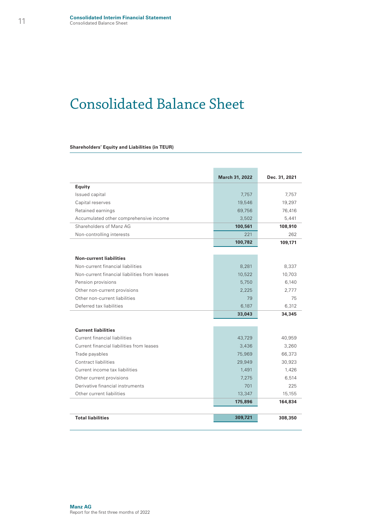### Consolidated Balance Sheet

#### **Shareholders' Equity and Liabilities (in TEUR)**

|                                               | March 31, 2022 | Dec. 31, 2021 |
|-----------------------------------------------|----------------|---------------|
| <b>Equity</b>                                 |                |               |
| Issued capital                                | 7.757          | 7.757         |
| Capital reserves                              | 19,546         | 19.297        |
| Retained earnings                             | 69.756         | 76,416        |
| Accumulated other comprehensive income        | 3.502          | 5.441         |
| Shareholders of Manz AG                       | 100,561        | 108,910       |
| Non-controlling interests                     | 221            | 262           |
|                                               | 100,782        | 109,171       |
| <b>Non-current liabilities</b>                |                |               |
| Non-current financial liabilities             | 8.281          | 8,337         |
| Non-current financial liabilities from leases | 10,522         | 10,703        |
| Pension provisions                            | 5.750          | 6.140         |
| Other non-current provisions                  | 2.225          | 2.777         |
| Other non-current liabilities                 | 79             | 75            |
| Deferred tax liabilities                      | 6.187          | 6,312         |
|                                               | 33,043         | 34,345        |
| <b>Current liabilities</b>                    |                |               |
| Current financial liabilities                 | 43,729         | 40,959        |
| Current financial liabilities from leases     | 3.436          | 3.260         |
| Trade payables                                | 75,969         | 66,373        |
| Contract liabilities                          | 29,949         | 30,923        |
| Current income tax liabilities                | 1.491          | 1.426         |
| Other current provisions                      | 7.275          | 6.514         |
| Derivative financial instruments              | 701            | 225           |
| Other current liabilities                     | 13,347         | 15.155        |
|                                               | 175,896        | 164,834       |
| <b>Total liabilities</b>                      | 309,721        | 308,350       |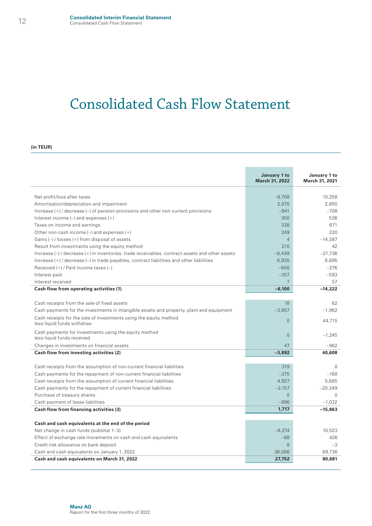### Consolidated Cash Flow Statement

#### **(in TEUR)**

|                                                                                                     | January 1 to<br><b>March 31, 2022</b> | January 1 to<br>March 31, 2021 |
|-----------------------------------------------------------------------------------------------------|---------------------------------------|--------------------------------|
|                                                                                                     |                                       |                                |
| Net profit/loss after taxes                                                                         | $-6,708$                              | 10,258                         |
| Amortization/depreciation and impairment                                                            | 2,870                                 | 2,800                          |
| Increase $(+)$ / decrease $(-)$ of pension provisions and other non-current provisions              | $-941$                                | $-708$                         |
| Interest income $(-)$ and expenses $(+)$                                                            | 350                                   | 536                            |
| Taxes on income and earnings                                                                        | 338                                   | 671                            |
| Other non-cash income $(-)$ and expenses $(+)$                                                      | 249                                   | 220                            |
| Gains $(-)$ / losses $(+)$ from disposal of assets                                                  | $\overline{4}$                        | $-14.387$                      |
| Result from investments using the equity method                                                     | 210                                   | 42                             |
| Increase $(-)$ / decrease $(+)$ in inventories, trade receivables, contract assets and other assets | $-8,449$                              | $-21.736$                      |
| Increase $(+)$ / decrease $(-)$ in trade payables, contract liabilities and other liabilities       | 6.935                                 | 8,895                          |
| Received $(+)$ / Paid income taxes $(-)$                                                            | $-608$                                | $-276$                         |
| Interest paid                                                                                       | $-357$                                | $-593$                         |
| Interest received                                                                                   | $\overline{7}$                        | 57                             |
| Cash flow from operating activities (1)                                                             | $-6,100$                              | $-14,222$                      |
|                                                                                                     |                                       |                                |
| Cash receipts from the sale of fixed assets                                                         | 18                                    | 62                             |
| Cash payments for the investments in intangible assets and property, plant and equipment            | $-3,957$                              | $-1,962$                       |
| Cash receipts for the sale of investments using the equity method<br>less liquid funds withdraw     | $\Omega$                              | 44.715                         |
| Cash payments for investments using the equity method<br>less liquid funds received                 | $\overline{0}$                        | $-1.245$                       |
| Changes in investments on financial assets                                                          | 47                                    | $-962$                         |
| Cash flow from investing activities (2)                                                             | $-3,892$                              | 40,608                         |
|                                                                                                     |                                       |                                |
| Cash receipts from the assumption of non-current financial liabilities                              | 319                                   | $\Omega$                       |
| Cash payments for the repayment of non-current financial liabilities                                | $-375$                                | $-168$                         |
| Cash receipts from the assumption of current financial liabilities                                  | 4.927                                 | 5.685                          |
| Cash payments for the repayment of current financial liabilities                                    | $-2.157$                              | $-20.349$                      |
| Purchase of treasury shares                                                                         | $\Omega$                              | $\Omega$                       |
| Cash payment of lease liabilities                                                                   | $-996$                                | $-1.032$                       |
| Cash flow from financing activities (3)                                                             | 1,717                                 | $-15,863$                      |
|                                                                                                     |                                       |                                |
| Cash and cash equivalents at the end of the period                                                  |                                       |                                |
| Net change in cash funds (subtotal 1-3)                                                             | $-8.274$                              | 10.523                         |
| Effect of exchange rate movements on cash and cash equivalents                                      | $-68$                                 | 426                            |
| Credit risk allowance on bank deposit                                                               | 8                                     | $-3$                           |
| Cash and cash equivalents on January 1, 2022                                                        | 36,086                                | 69.736                         |
| Cash and cash equivalents on March 31, 2022                                                         | 27,752                                | 80,681                         |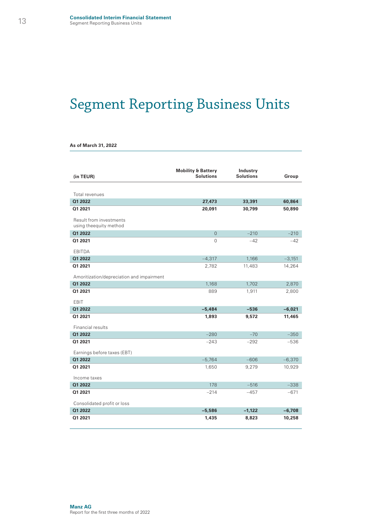# Segment Reporting Business Units

|  |  | As of March 31, 2022 |  |  |
|--|--|----------------------|--|--|
|--|--|----------------------|--|--|

| (in TEUR)                                         | <b>Mobility &amp; Battery</b><br><b>Solutions</b> | Industry<br><b>Solutions</b> | Group    |
|---------------------------------------------------|---------------------------------------------------|------------------------------|----------|
|                                                   |                                                   |                              |          |
| Total revenues                                    |                                                   |                              |          |
| Q1 2022                                           | 27,473                                            | 33,391                       | 60,864   |
| Q1 2021                                           | 20,091                                            | 30,799                       | 50,890   |
| Result from investments<br>using theequity method |                                                   |                              |          |
| Q1 2022                                           | $\overline{0}$                                    | $-210$                       | $-210$   |
| Q1 2021                                           | 0                                                 | $-42$                        | $-42$    |
| <b>EBITDA</b>                                     |                                                   |                              |          |
| Q1 2022                                           | $-4,317$                                          | 1,166                        | $-3,151$ |
| Q1 2021                                           | 2,782                                             | 11,483                       | 14,264   |
| Amoritization/depreciation and impairment         |                                                   |                              |          |
| Q1 2022                                           | 1,168                                             | 1,702                        | 2,870    |
| Q1 2021                                           | 889                                               | 1,911                        | 2,800    |
| EBIT                                              |                                                   |                              |          |
| Q1 2022                                           | $-5,484$                                          | $-536$                       | $-6,021$ |
| Q1 2021                                           | 1,893                                             | 9,572                        | 11,465   |
| Financial results                                 |                                                   |                              |          |
| Q1 2022                                           | $-280$                                            | $-70$                        | $-350$   |
| Q1 2021                                           | $-243$                                            | $-292$                       | $-536$   |
| Earnings before taxes (EBT)                       |                                                   |                              |          |
| Q1 2022                                           | $-5,764$                                          | $-606$                       | $-6,370$ |
| Q1 2021                                           | 1,650                                             | 9,279                        | 10,929   |
| Income taxes                                      |                                                   |                              |          |
| Q1 2022                                           | 178                                               | $-516$                       | $-338$   |
| Q1 2021                                           | $-214$                                            | $-457$                       | $-671$   |
| Consolidated profit or loss                       |                                                   |                              |          |
| Q1 2022                                           | $-5,586$                                          | $-1,122$                     | $-6,708$ |
| Q1 2021                                           | 1,435                                             | 8,823                        | 10,258   |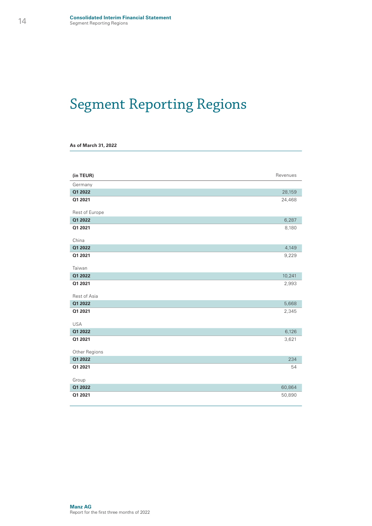## Segment Reporting Regions

|  |  |  |  | As of March 31, 2022 |
|--|--|--|--|----------------------|
|--|--|--|--|----------------------|

I

| (in TEUR)             | Revenues |
|-----------------------|----------|
| Germany               |          |
| Q1 2022               | 28,159   |
| Q1 2021               | 24,468   |
| Rest of Europe        |          |
| Q1 2022               | 6,287    |
| Q1 2021               | 8,180    |
| China                 |          |
| Q1 2022               | 4,149    |
| Q1 2021               | 9,229    |
| Taiwan                |          |
| Q1 2022               | 10,241   |
| Q1 2021               | 2,993    |
| Rest of Asia          |          |
| Q1 2022               | 5,668    |
| Q1 2021<br><b>USA</b> | 2,345    |
| Q1 2022               | 6,126    |
| Q1 2021               | 3,621    |
|                       |          |
| Other Regions         |          |
| Q1 2022               | 234      |
| Q1 2021               | 54       |
| Group                 |          |
| Q1 2022               | 60,864   |
| Q1 2021               | 50,890   |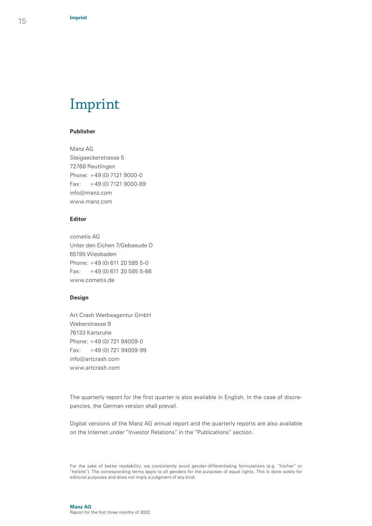### Imprint

#### **Publisher**

Manz AG Steigaeckerstrasse 5 72768 Reutlingen Phone: +49 (0) 7121 9000-0 Fax:  $+49(0)$  7121 9000-99 info@manz.com www.manz.com

#### **Editor**

cometis AG Unter den Eichen 7/Gebaeude D 65195 Wiesbaden Phone: +49 (0) 611 20 585 5-0 Fax:  $+49(0)$  611 20 585 5-66 www.cometis.de

#### **Design**

Art Crash Werbeagentur GmbH Weberstrasse 9 76133 Karlsruhe Phone: +49 (0) 721 94009-0 Fax: +49 (0) 721 94009-99 info@artcrash.com www.artcrash.com

The quarterly report for the first quarter is also available in English. In the case of discrepancies, the German version shall prevail.

Digital versions of the Manz AG annual report and the quarterly reports are also available on the Internet under "Investor Relations" in the "Publications" section.

For the sake of better readability, we consistently avoid gender-differentiating formulations (e.g. "his/her" or "he/she"). The corresponding terms apply to all genders for the purposes of equal rights. This is done solely for editorial purposes and does not imply a judgment of any kind.